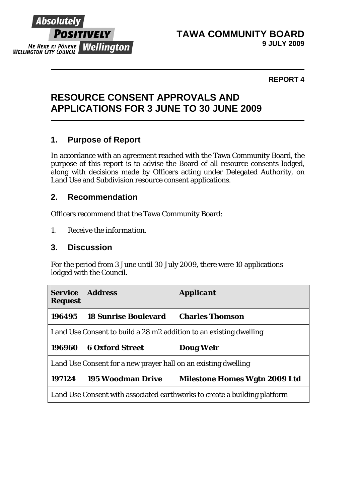

#### **REPORT 4**

### **RESOURCE CONSENT APPROVALS AND APPLICATIONS FOR 3 JUNE TO 30 JUNE 2009**

### **1. Purpose of Report**

In accordance with an agreement reached with the Tawa Community Board, the purpose of this report is to advise the Board of all resource consents lodged, along with decisions made by Officers acting under Delegated Authority, on Land Use and Subdivision resource consent applications.

#### **2. Recommendation**

Officers recommend that the Tawa Community Board:

*1. Receive the information.* 

### **3. Discussion**

For the period from 3 June until 30 July 2009, there were 10 applications lodged with the Council.

| <b>Service</b><br><b>Request</b>                                          | <b>Address</b>              | <i><b>Applicant</b></i>              |  |
|---------------------------------------------------------------------------|-----------------------------|--------------------------------------|--|
| 196495                                                                    | <b>18 Sunrise Boulevard</b> | <b>Charles Thomson</b>               |  |
| Land Use Consent to build a 28 m2 addition to an existing dwelling        |                             |                                      |  |
| 196960                                                                    | <b>6 Oxford Street</b>      | Doug Weir                            |  |
| Land Use Consent for a new prayer hall on an existing dwelling            |                             |                                      |  |
| 197124                                                                    | <b>195 Woodman Drive</b>    | <b>Milestone Homes Wgtn 2009 Ltd</b> |  |
| Land Use Consent with associated earthworks to create a building platform |                             |                                      |  |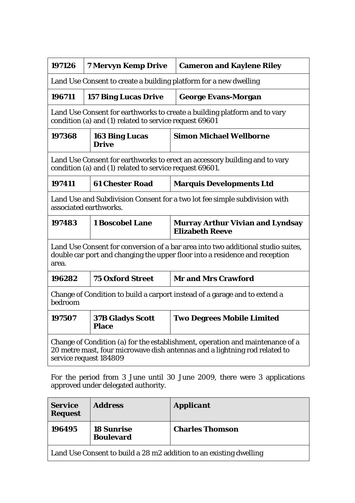| 197126                                                                                                                                                                                | <b>7 Mervyn Kemp Drive</b>              | <b>Cameron and Kaylene Riley</b>                                  |  |  |
|---------------------------------------------------------------------------------------------------------------------------------------------------------------------------------------|-----------------------------------------|-------------------------------------------------------------------|--|--|
| Land Use Consent to create a building platform for a new dwelling                                                                                                                     |                                         |                                                                   |  |  |
| 196711                                                                                                                                                                                | <b>157 Bing Lucas Drive</b>             | <b>George Evans-Morgan</b>                                        |  |  |
| Land Use Consent for earthworks to create a building platform and to vary<br>condition (a) and (1) related to service request 69601                                                   |                                         |                                                                   |  |  |
| 197368                                                                                                                                                                                | <b>163 Bing Lucas</b><br><b>Drive</b>   | <b>Simon Michael Wellborne</b>                                    |  |  |
| Land Use Consent for earthworks to erect an accessory building and to vary<br>condition (a) and (1) related to service request 69601.                                                 |                                         |                                                                   |  |  |
| 197411                                                                                                                                                                                | <b>61 Chester Road</b>                  | <b>Marquis Developments Ltd</b>                                   |  |  |
| Land Use and Subdivision Consent for a two lot fee simple subdivision with<br>associated earthworks.                                                                                  |                                         |                                                                   |  |  |
| 197483                                                                                                                                                                                | <b>1 Boscobel Lane</b>                  | <b>Murray Arthur Vivian and Lyndsay</b><br><b>Elizabeth Reeve</b> |  |  |
| Land Use Consent for conversion of a bar area into two additional studio suites,<br>double car port and changing the upper floor into a residence and reception<br>area.              |                                         |                                                                   |  |  |
| 196282                                                                                                                                                                                | <b>75 Oxford Street</b>                 | <b>Mr and Mrs Crawford</b>                                        |  |  |
| Change of Condition to build a carport instead of a garage and to extend a<br>bedroom                                                                                                 |                                         |                                                                   |  |  |
| 197507                                                                                                                                                                                | <b>37B Gladys Scott</b><br><b>Place</b> | <b>Two Degrees Mobile Limited</b>                                 |  |  |
| Change of Condition (a) for the establishment, operation and maintenance of a<br>20 metre mast, four microwave dish antennas and a lightning rod related to<br>service request 184809 |                                         |                                                                   |  |  |

For the period from 3 June until 30 June 2009, there were 3 applications approved under delegated authority.

| <b>Service</b><br><b>Request</b>                                   | <b>Address</b>                        | <b>Applicant</b>       |  |  |
|--------------------------------------------------------------------|---------------------------------------|------------------------|--|--|
| 196495                                                             | <b>18 Sunrise</b><br><b>Boulevard</b> | <b>Charles Thomson</b> |  |  |
| Land Use Consent to build a 28 m2 addition to an existing dwelling |                                       |                        |  |  |